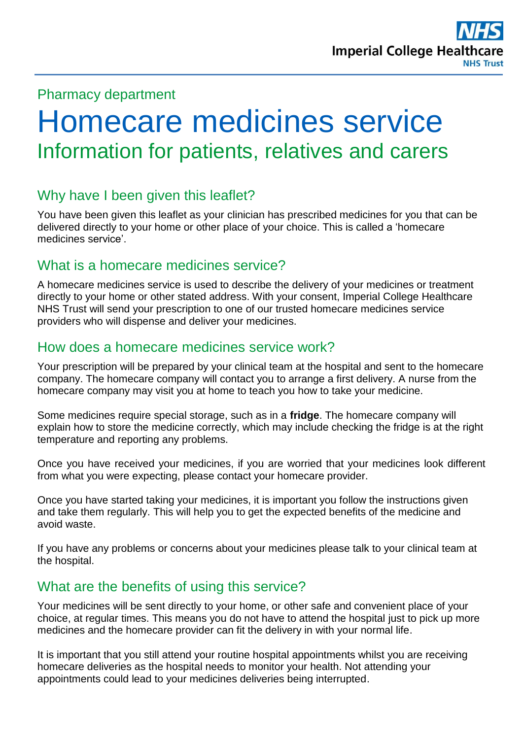## Pharmacy department

# Homecare medicines service Information for patients, relatives and carers

# Why have I been given this leaflet?

You have been given this leaflet as your clinician has prescribed medicines for you that can be delivered directly to your home or other place of your choice. This is called a 'homecare medicines service'.

### What is a homecare medicines service?

A homecare medicines service is used to describe the delivery of your medicines or treatment directly to your home or other stated address. With your consent, Imperial College Healthcare NHS Trust will send your prescription to one of our trusted homecare medicines service providers who will dispense and deliver your medicines.

# How does a homecare medicines service work?

Your prescription will be prepared by your clinical team at the hospital and sent to the homecare company. The homecare company will contact you to arrange a first delivery. A nurse from the homecare company may visit you at home to teach you how to take your medicine.

Some medicines require special storage, such as in a **fridge**. The homecare company will explain how to store the medicine correctly, which may include checking the fridge is at the right temperature and reporting any problems.

Once you have received your medicines, if you are worried that your medicines look different from what you were expecting, please contact your homecare provider.

Once you have started taking your medicines, it is important you follow the instructions given and take them regularly. This will help you to get the expected benefits of the medicine and avoid waste.

If you have any problems or concerns about your medicines please talk to your clinical team at the hospital.

# What are the benefits of using this service?

Your medicines will be sent directly to your home, or other safe and convenient place of your choice, at regular times. This means you do not have to attend the hospital just to pick up more medicines and the homecare provider can fit the delivery in with your normal life.

It is important that you still attend your routine hospital appointments whilst you are receiving homecare deliveries as the hospital needs to monitor your health. Not attending your appointments could lead to your medicines deliveries being interrupted.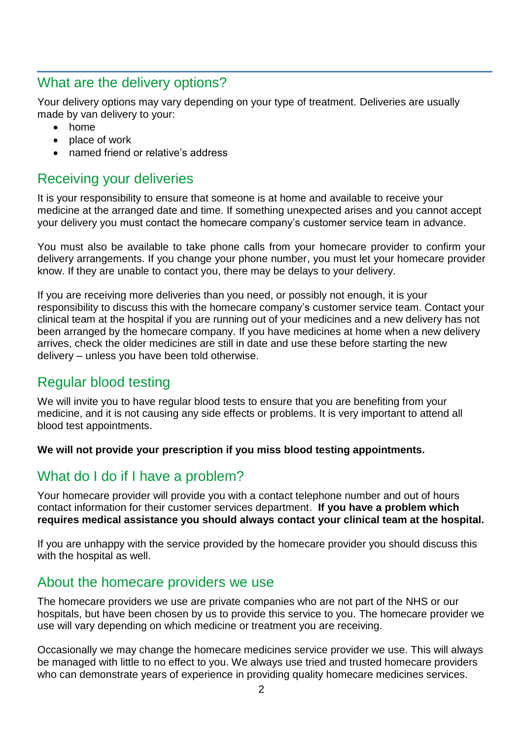## What are the delivery options?

Your delivery options may vary depending on your type of treatment. Deliveries are usually made by van delivery to your:

- home
- place of work
- named friend or relative's address

## Receiving your deliveries

It is your responsibility to ensure that someone is at home and available to receive your medicine at the arranged date and time. If something unexpected arises and you cannot accept your delivery you must contact the homecare company's customer service team in advance.

You must also be available to take phone calls from your homecare provider to confirm your delivery arrangements. If you change your phone number, you must let your homecare provider know. If they are unable to contact you, there may be delays to your delivery.

If you are receiving more deliveries than you need, or possibly not enough, it is your responsibility to discuss this with the homecare company's customer service team. Contact your clinical team at the hospital if you are running out of your medicines and a new delivery has not been arranged by the homecare company. If you have medicines at home when a new delivery arrives, check the older medicines are still in date and use these before starting the new delivery – unless you have been told otherwise.

### Regular blood testing

We will invite you to have regular blood tests to ensure that you are benefiting from your medicine, and it is not causing any side effects or problems. It is very important to attend all blood test appointments.

**We will not provide your prescription if you miss blood testing appointments.**

# What do I do if I have a problem?

Your homecare provider will provide you with a contact telephone number and out of hours contact information for their customer services department. **If you have a problem which requires medical assistance you should always contact your clinical team at the hospital.** 

If you are unhappy with the service provided by the homecare provider you should discuss this with the hospital as well.

#### About the homecare providers we use

The homecare providers we use are private companies who are not part of the NHS or our hospitals, but have been chosen by us to provide this service to you. The homecare provider we use will vary depending on which medicine or treatment you are receiving.

Occasionally we may change the homecare medicines service provider we use. This will always be managed with little to no effect to you. We always use tried and trusted homecare providers who can demonstrate years of experience in providing quality homecare medicines services.